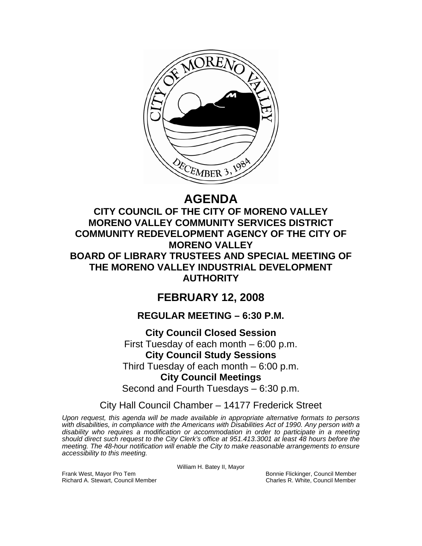

# **AGENDA**

## **CITY COUNCIL OF THE CITY OF MORENO VALLEY MORENO VALLEY COMMUNITY SERVICES DISTRICT COMMUNITY REDEVELOPMENT AGENCY OF THE CITY OF MORENO VALLEY BOARD OF LIBRARY TRUSTEES AND SPECIAL MEETING OF THE MORENO VALLEY INDUSTRIAL DEVELOPMENT AUTHORITY**

## **FEBRUARY 12, 2008**

## **REGULAR MEETING – 6:30 P.M.**

## **City Council Closed Session**

First Tuesday of each month – 6:00 p.m. **City Council Study Sessions**  Third Tuesday of each month – 6:00 p.m.

## **City Council Meetings**

Second and Fourth Tuesdays – 6:30 p.m.

## City Hall Council Chamber – 14177 Frederick Street

*Upon request, this agenda will be made available in appropriate alternative formats to persons with disabilities, in compliance with the Americans with Disabilities Act of 1990. Any person with a disability who requires a modification or accommodation in order to participate in a meeting should direct such request to the City Clerk's office at 951.413.3001 at least 48 hours before the meeting. The 48-hour notification will enable the City to make reasonable arrangements to ensure accessibility to this meeting.* 

William H. Batey II, Mayor

Frank West, Mayor Pro Tem Bonnie Flickinger, Council Member<br>Richard A. Stewart, Council Member **Bonnie Flickinger, Council Member**<br>Charles R. White, Council Member Richard A. Stewart, Council Member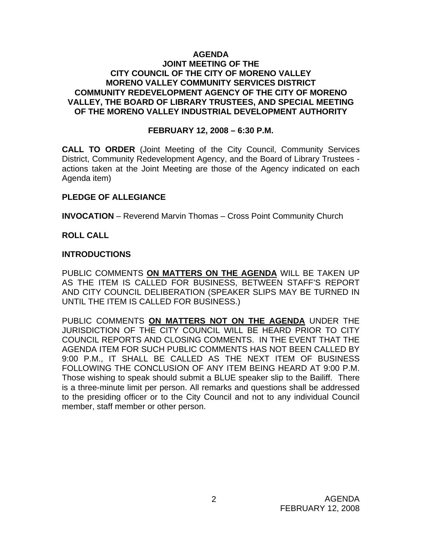#### **AGENDA JOINT MEETING OF THE CITY COUNCIL OF THE CITY OF MORENO VALLEY MORENO VALLEY COMMUNITY SERVICES DISTRICT COMMUNITY REDEVELOPMENT AGENCY OF THE CITY OF MORENO VALLEY, THE BOARD OF LIBRARY TRUSTEES, AND SPECIAL MEETING OF THE MORENO VALLEY INDUSTRIAL DEVELOPMENT AUTHORITY**

#### **FEBRUARY 12, 2008 – 6:30 P.M.**

**CALL TO ORDER** (Joint Meeting of the City Council, Community Services District, Community Redevelopment Agency, and the Board of Library Trustees actions taken at the Joint Meeting are those of the Agency indicated on each Agenda item)

#### **PLEDGE OF ALLEGIANCE**

**INVOCATION** – Reverend Marvin Thomas – Cross Point Community Church

#### **ROLL CALL**

#### **INTRODUCTIONS**

PUBLIC COMMENTS **ON MATTERS ON THE AGENDA** WILL BE TAKEN UP AS THE ITEM IS CALLED FOR BUSINESS, BETWEEN STAFF'S REPORT AND CITY COUNCIL DELIBERATION (SPEAKER SLIPS MAY BE TURNED IN UNTIL THE ITEM IS CALLED FOR BUSINESS.)

PUBLIC COMMENTS **ON MATTERS NOT ON THE AGENDA** UNDER THE JURISDICTION OF THE CITY COUNCIL WILL BE HEARD PRIOR TO CITY COUNCIL REPORTS AND CLOSING COMMENTS. IN THE EVENT THAT THE AGENDA ITEM FOR SUCH PUBLIC COMMENTS HAS NOT BEEN CALLED BY 9:00 P.M., IT SHALL BE CALLED AS THE NEXT ITEM OF BUSINESS FOLLOWING THE CONCLUSION OF ANY ITEM BEING HEARD AT 9:00 P.M. Those wishing to speak should submit a BLUE speaker slip to the Bailiff. There is a three-minute limit per person. All remarks and questions shall be addressed to the presiding officer or to the City Council and not to any individual Council member, staff member or other person.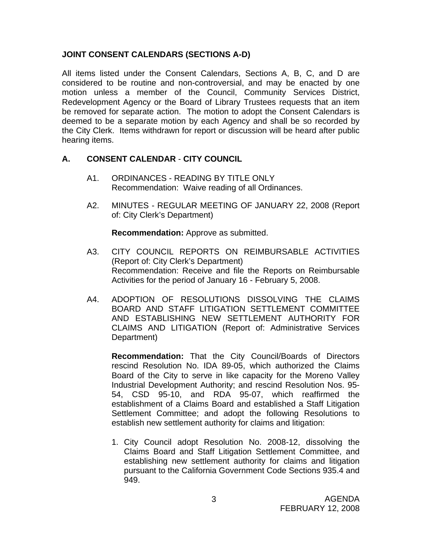#### **JOINT CONSENT CALENDARS (SECTIONS A-D)**

All items listed under the Consent Calendars, Sections A, B, C, and D are considered to be routine and non-controversial, and may be enacted by one motion unless a member of the Council, Community Services District, Redevelopment Agency or the Board of Library Trustees requests that an item be removed for separate action. The motion to adopt the Consent Calendars is deemed to be a separate motion by each Agency and shall be so recorded by the City Clerk. Items withdrawn for report or discussion will be heard after public hearing items.

#### **A. CONSENT CALENDAR** - **CITY COUNCIL**

- A1. ORDINANCES READING BY TITLE ONLY Recommendation: Waive reading of all Ordinances.
- A2. MINUTES REGULAR MEETING OF JANUARY 22, 2008 (Report of: City Clerk's Department)

**Recommendation:** Approve as submitted.

- A3. CITY COUNCIL REPORTS ON REIMBURSABLE ACTIVITIES (Report of: City Clerk's Department) Recommendation: Receive and file the Reports on Reimbursable Activities for the period of January 16 - February 5, 2008.
- A4. ADOPTION OF RESOLUTIONS DISSOLVING THE CLAIMS BOARD AND STAFF LITIGATION SETTLEMENT COMMITTEE AND ESTABLISHING NEW SETTLEMENT AUTHORITY FOR CLAIMS AND LITIGATION (Report of: Administrative Services Department)

**Recommendation:** That the City Council/Boards of Directors rescind Resolution No. IDA 89-05, which authorized the Claims Board of the City to serve in like capacity for the Moreno Valley Industrial Development Authority; and rescind Resolution Nos. 95- 54, CSD 95-10, and RDA 95-07, which reaffirmed the establishment of a Claims Board and established a Staff Litigation Settlement Committee; and adopt the following Resolutions to establish new settlement authority for claims and litigation:

1. City Council adopt Resolution No. 2008-12, dissolving the Claims Board and Staff Litigation Settlement Committee, and establishing new settlement authority for claims and litigation pursuant to the California Government Code Sections 935.4 and 949.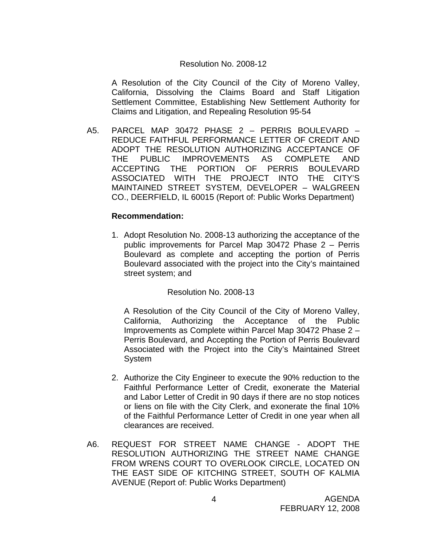#### Resolution No. 2008-12

A Resolution of the City Council of the City of Moreno Valley, California, Dissolving the Claims Board and Staff Litigation Settlement Committee, Establishing New Settlement Authority for Claims and Litigation, and Repealing Resolution 95-54

A5. PARCEL MAP 30472 PHASE 2 – PERRIS BOULEVARD – REDUCE FAITHFUL PERFORMANCE LETTER OF CREDIT AND ADOPT THE RESOLUTION AUTHORIZING ACCEPTANCE OF THE PUBLIC IMPROVEMENTS AS COMPLETE AND ACCEPTING THE PORTION OF PERRIS BOULEVARD ASSOCIATED WITH THE PROJECT INTO THE CITY'S MAINTAINED STREET SYSTEM, DEVELOPER – WALGREEN CO., DEERFIELD, IL 60015 (Report of: Public Works Department)

#### **Recommendation:**

1. Adopt Resolution No. 2008-13 authorizing the acceptance of the public improvements for Parcel Map 30472 Phase 2 – Perris Boulevard as complete and accepting the portion of Perris Boulevard associated with the project into the City's maintained street system; and

Resolution No. 2008-13

A Resolution of the City Council of the City of Moreno Valley, California, Authorizing the Acceptance of the Public Improvements as Complete within Parcel Map 30472 Phase 2 – Perris Boulevard, and Accepting the Portion of Perris Boulevard Associated with the Project into the City's Maintained Street System

- 2. Authorize the City Engineer to execute the 90% reduction to the Faithful Performance Letter of Credit, exonerate the Material and Labor Letter of Credit in 90 days if there are no stop notices or liens on file with the City Clerk, and exonerate the final 10% of the Faithful Performance Letter of Credit in one year when all clearances are received.
- A6. REQUEST FOR STREET NAME CHANGE ADOPT THE RESOLUTION AUTHORIZING THE STREET NAME CHANGE FROM WRENS COURT TO OVERLOOK CIRCLE, LOCATED ON THE EAST SIDE OF KITCHING STREET, SOUTH OF KALMIA AVENUE (Report of: Public Works Department)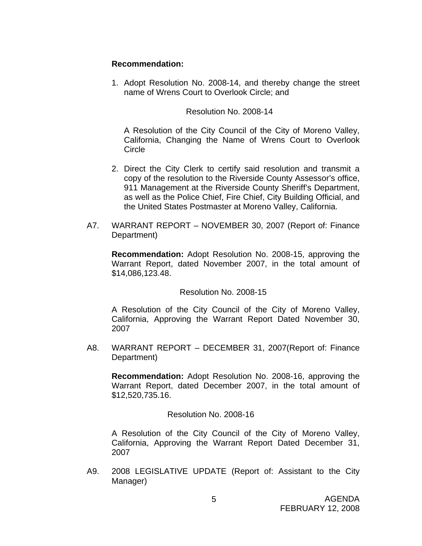#### **Recommendation:**

1. Adopt Resolution No. 2008-14, and thereby change the street name of Wrens Court to Overlook Circle; and

#### Resolution No. 2008-14

 A Resolution of the City Council of the City of Moreno Valley, California, Changing the Name of Wrens Court to Overlook **Circle** 

- 2. Direct the City Clerk to certify said resolution and transmit a copy of the resolution to the Riverside County Assessor's office, 911 Management at the Riverside County Sheriff's Department, as well as the Police Chief, Fire Chief, City Building Official, and the United States Postmaster at Moreno Valley, California.
- A7. WARRANT REPORT NOVEMBER 30, 2007 (Report of: Finance Department)

**Recommendation:** Adopt Resolution No. 2008-15, approving the Warrant Report, dated November 2007, in the total amount of \$14,086,123.48.

#### Resolution No. 2008-15

A Resolution of the City Council of the City of Moreno Valley, California, Approving the Warrant Report Dated November 30, 2007

A8. WARRANT REPORT – DECEMBER 31, 2007(Report of: Finance Department)

**Recommendation:** Adopt Resolution No. 2008-16, approving the Warrant Report, dated December 2007, in the total amount of \$12,520,735.16.

#### Resolution No. 2008-16

A Resolution of the City Council of the City of Moreno Valley, California, Approving the Warrant Report Dated December 31, 2007

A9. 2008 LEGISLATIVE UPDATE (Report of: Assistant to the City Manager)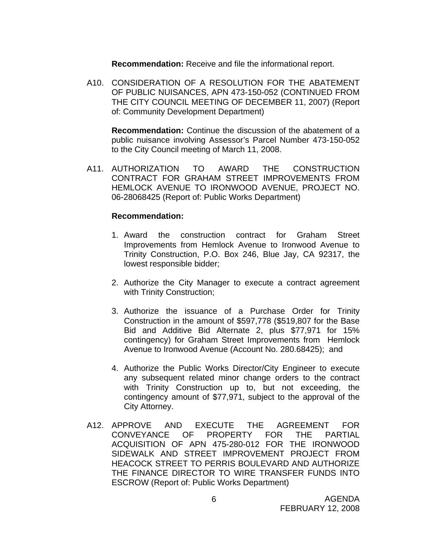**Recommendation:** Receive and file the informational report.

A10. CONSIDERATION OF A RESOLUTION FOR THE ABATEMENT OF PUBLIC NUISANCES, APN 473-150-052 (CONTINUED FROM THE CITY COUNCIL MEETING OF DECEMBER 11, 2007) (Report of: Community Development Department)

 **Recommendation:** Continue the discussion of the abatement of a public nuisance involving Assessor's Parcel Number 473-150-052 to the City Council meeting of March 11, 2008.

A11. AUTHORIZATION TO AWARD THE CONSTRUCTION CONTRACT FOR GRAHAM STREET IMPROVEMENTS FROM HEMLOCK AVENUE TO IRONWOOD AVENUE, PROJECT NO. 06-28068425 (Report of: Public Works Department)

- 1. Award the construction contract for Graham Street Improvements from Hemlock Avenue to Ironwood Avenue to Trinity Construction, P.O. Box 246, Blue Jay, CA 92317, the lowest responsible bidder;
- 2. Authorize the City Manager to execute a contract agreement with Trinity Construction;
- 3. Authorize the issuance of a Purchase Order for Trinity Construction in the amount of \$597,778 (\$519,807 for the Base Bid and Additive Bid Alternate 2, plus \$77,971 for 15% contingency) for Graham Street Improvements from Hemlock Avenue to Ironwood Avenue (Account No. 280.68425); and
- 4. Authorize the Public Works Director/City Engineer to execute any subsequent related minor change orders to the contract with Trinity Construction up to, but not exceeding, the contingency amount of \$77,971, subject to the approval of the City Attorney.
- A12. APPROVE AND EXECUTE THE AGREEMENT FOR CONVEYANCE OF PROPERTY FOR THE PARTIAL ACQUISITION OF APN 475-280-012 FOR THE IRONWOOD SIDEWALK AND STREET IMPROVEMENT PROJECT FROM HEACOCK STREET TO PERRIS BOULEVARD AND AUTHORIZE THE FINANCE DIRECTOR TO WIRE TRANSFER FUNDS INTO ESCROW (Report of: Public Works Department)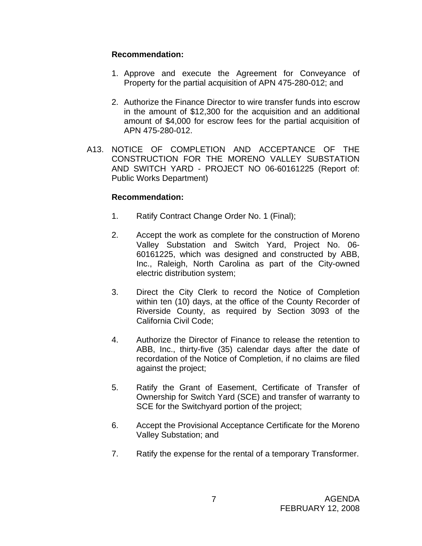#### **Recommendation:**

- 1. Approve and execute the Agreement for Conveyance of Property for the partial acquisition of APN 475-280-012; and
- 2. Authorize the Finance Director to wire transfer funds into escrow in the amount of \$12,300 for the acquisition and an additional amount of \$4,000 for escrow fees for the partial acquisition of APN 475-280-012.
- A13. NOTICE OF COMPLETION AND ACCEPTANCE OF THE CONSTRUCTION FOR THE MORENO VALLEY SUBSTATION AND SWITCH YARD - PROJECT NO 06-60161225 (Report of: Public Works Department)

- 1. Ratify Contract Change Order No. 1 (Final);
- 2. Accept the work as complete for the construction of Moreno Valley Substation and Switch Yard, Project No. 06- 60161225, which was designed and constructed by ABB, Inc., Raleigh, North Carolina as part of the City-owned electric distribution system;
- 3. Direct the City Clerk to record the Notice of Completion within ten (10) days, at the office of the County Recorder of Riverside County, as required by Section 3093 of the California Civil Code;
- 4. Authorize the Director of Finance to release the retention to ABB, Inc., thirty-five (35) calendar days after the date of recordation of the Notice of Completion, if no claims are filed against the project;
- 5. Ratify the Grant of Easement, Certificate of Transfer of Ownership for Switch Yard (SCE) and transfer of warranty to SCE for the Switchyard portion of the project;
- 6. Accept the Provisional Acceptance Certificate for the Moreno Valley Substation; and
- 7. Ratify the expense for the rental of a temporary Transformer.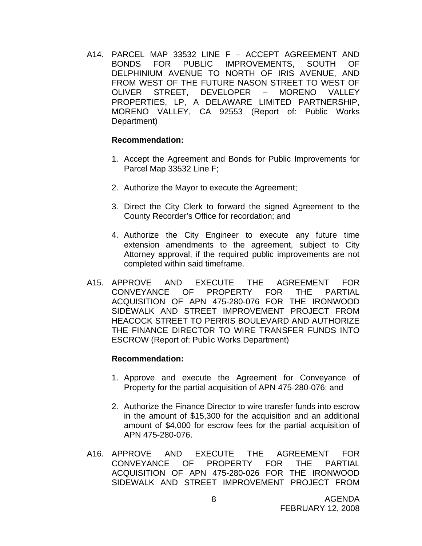A14. PARCEL MAP 33532 LINE F – ACCEPT AGREEMENT AND BONDS FOR PUBLIC IMPROVEMENTS, SOUTH OF DELPHINIUM AVENUE TO NORTH OF IRIS AVENUE, AND FROM WEST OF THE FUTURE NASON STREET TO WEST OF OLIVER STREET, DEVELOPER – MORENO VALLEY PROPERTIES, LP, A DELAWARE LIMITED PARTNERSHIP, MORENO VALLEY, CA 92553 (Report of: Public Works Department)

#### **Recommendation:**

- 1. Accept the Agreement and Bonds for Public Improvements for Parcel Map 33532 Line F;
- 2. Authorize the Mayor to execute the Agreement;
- 3. Direct the City Clerk to forward the signed Agreement to the County Recorder's Office for recordation; and
- 4. Authorize the City Engineer to execute any future time extension amendments to the agreement, subject to City Attorney approval, if the required public improvements are not completed within said timeframe.
- A15. APPROVE AND EXECUTE THE AGREEMENT FOR CONVEYANCE OF PROPERTY FOR THE PARTIAL ACQUISITION OF APN 475-280-076 FOR THE IRONWOOD SIDEWALK AND STREET IMPROVEMENT PROJECT FROM HEACOCK STREET TO PERRIS BOULEVARD AND AUTHORIZE THE FINANCE DIRECTOR TO WIRE TRANSFER FUNDS INTO ESCROW (Report of: Public Works Department)

- 1. Approve and execute the Agreement for Conveyance of Property for the partial acquisition of APN 475-280-076; and
- 2. Authorize the Finance Director to wire transfer funds into escrow in the amount of \$15,300 for the acquisition and an additional amount of \$4,000 for escrow fees for the partial acquisition of APN 475-280-076.
- A16. APPROVE AND EXECUTE THE AGREEMENT FOR CONVEYANCE OF PROPERTY FOR THE PARTIAL ACQUISITION OF APN 475-280-026 FOR THE IRONWOOD SIDEWALK AND STREET IMPROVEMENT PROJECT FROM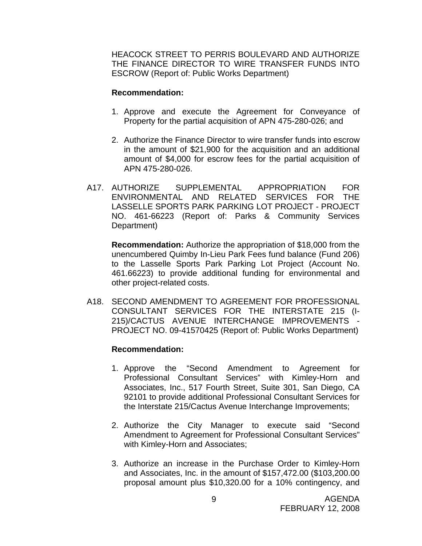HEACOCK STREET TO PERRIS BOULEVARD AND AUTHORIZE THE FINANCE DIRECTOR TO WIRE TRANSFER FUNDS INTO ESCROW (Report of: Public Works Department)

#### **Recommendation:**

- 1. Approve and execute the Agreement for Conveyance of Property for the partial acquisition of APN 475-280-026; and
- 2. Authorize the Finance Director to wire transfer funds into escrow in the amount of \$21,900 for the acquisition and an additional amount of \$4,000 for escrow fees for the partial acquisition of APN 475-280-026.
- A17. AUTHORIZE SUPPLEMENTAL APPROPRIATION FOR ENVIRONMENTAL AND RELATED SERVICES FOR THE LASSELLE SPORTS PARK PARKING LOT PROJECT - PROJECT NO. 461-66223 (Report of: Parks & Community Services Department)

**Recommendation:** Authorize the appropriation of \$18,000 from the unencumbered Quimby In-Lieu Park Fees fund balance (Fund 206) to the Lasselle Sports Park Parking Lot Project (Account No. 461.66223) to provide additional funding for environmental and other project-related costs.

A18. SECOND AMENDMENT TO AGREEMENT FOR PROFESSIONAL CONSULTANT SERVICES FOR THE INTERSTATE 215 (I-215)/CACTUS AVENUE INTERCHANGE IMPROVEMENTS PROJECT NO. 09-41570425 (Report of: Public Works Department)

- 1. Approve the "Second Amendment to Agreement for Professional Consultant Services" with Kimley-Horn and Associates, Inc., 517 Fourth Street, Suite 301, San Diego, CA 92101 to provide additional Professional Consultant Services for the Interstate 215/Cactus Avenue Interchange Improvements;
- 2. Authorize the City Manager to execute said "Second Amendment to Agreement for Professional Consultant Services" with Kimley-Horn and Associates;
- 3. Authorize an increase in the Purchase Order to Kimley-Horn and Associates, Inc. in the amount of \$157,472.00 (\$103,200.00 proposal amount plus \$10,320.00 for a 10% contingency, and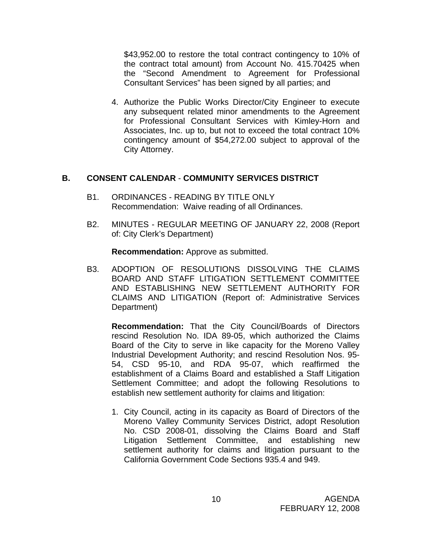\$43,952.00 to restore the total contract contingency to 10% of the contract total amount) from Account No. 415.70425 when the "Second Amendment to Agreement for Professional Consultant Services" has been signed by all parties; and

4. Authorize the Public Works Director/City Engineer to execute any subsequent related minor amendments to the Agreement for Professional Consultant Services with Kimley-Horn and Associates, Inc. up to, but not to exceed the total contract 10% contingency amount of \$54,272.00 subject to approval of the City Attorney.

#### **B. CONSENT CALENDAR** - **COMMUNITY SERVICES DISTRICT**

- B1. ORDINANCES READING BY TITLE ONLY Recommendation: Waive reading of all Ordinances.
- B2. MINUTES REGULAR MEETING OF JANUARY 22, 2008 (Report of: City Clerk's Department)

**Recommendation:** Approve as submitted.

B3. ADOPTION OF RESOLUTIONS DISSOLVING THE CLAIMS BOARD AND STAFF LITIGATION SETTLEMENT COMMITTEE AND ESTABLISHING NEW SETTLEMENT AUTHORITY FOR CLAIMS AND LITIGATION (Report of: Administrative Services Department)

**Recommendation:** That the City Council/Boards of Directors rescind Resolution No. IDA 89-05, which authorized the Claims Board of the City to serve in like capacity for the Moreno Valley Industrial Development Authority; and rescind Resolution Nos. 95- 54, CSD 95-10, and RDA 95-07, which reaffirmed the establishment of a Claims Board and established a Staff Litigation Settlement Committee; and adopt the following Resolutions to establish new settlement authority for claims and litigation:

1. City Council, acting in its capacity as Board of Directors of the Moreno Valley Community Services District, adopt Resolution No. CSD 2008-01, dissolving the Claims Board and Staff Litigation Settlement Committee, and establishing new settlement authority for claims and litigation pursuant to the California Government Code Sections 935.4 and 949.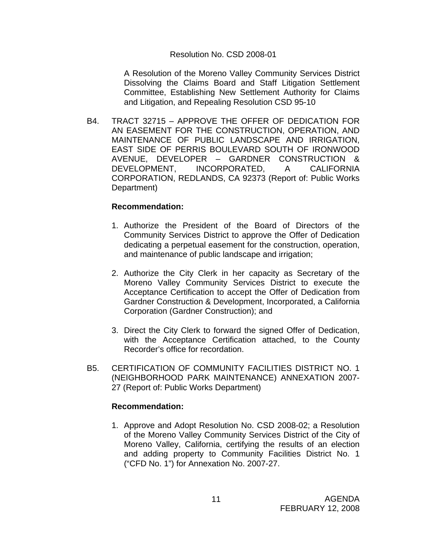#### Resolution No. CSD 2008-01

 A Resolution of the Moreno Valley Community Services District Dissolving the Claims Board and Staff Litigation Settlement Committee, Establishing New Settlement Authority for Claims and Litigation, and Repealing Resolution CSD 95-10

B4. TRACT 32715 – APPROVE THE OFFER OF DEDICATION FOR AN EASEMENT FOR THE CONSTRUCTION, OPERATION, AND MAINTENANCE OF PUBLIC LANDSCAPE AND IRRIGATION, EAST SIDE OF PERRIS BOULEVARD SOUTH OF IRONWOOD AVENUE, DEVELOPER – GARDNER CONSTRUCTION & DEVELOPMENT, INCORPORATED, A CALIFORNIA CORPORATION, REDLANDS, CA 92373 (Report of: Public Works Department)

#### **Recommendation:**

- 1. Authorize the President of the Board of Directors of the Community Services District to approve the Offer of Dedication dedicating a perpetual easement for the construction, operation, and maintenance of public landscape and irrigation;
- 2. Authorize the City Clerk in her capacity as Secretary of the Moreno Valley Community Services District to execute the Acceptance Certification to accept the Offer of Dedication from Gardner Construction & Development, Incorporated, a California Corporation (Gardner Construction); and
- 3. Direct the City Clerk to forward the signed Offer of Dedication, with the Acceptance Certification attached, to the County Recorder's office for recordation.
- B5. CERTIFICATION OF COMMUNITY FACILITIES DISTRICT NO. 1 (NEIGHBORHOOD PARK MAINTENANCE) ANNEXATION 2007- 27 (Report of: Public Works Department)

#### **Recommendation:**

1. Approve and Adopt Resolution No. CSD 2008-02; a Resolution of the Moreno Valley Community Services District of the City of Moreno Valley, California, certifying the results of an election and adding property to Community Facilities District No. 1 ("CFD No. 1") for Annexation No. 2007-27.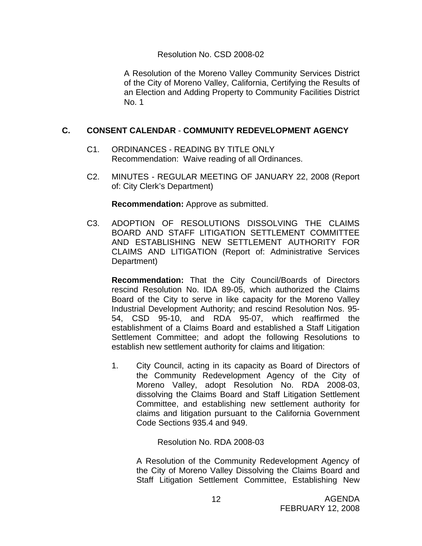#### Resolution No. CSD 2008-02

A Resolution of the Moreno Valley Community Services District of the City of Moreno Valley, California, Certifying the Results of an Election and Adding Property to Community Facilities District No. 1

#### **C. CONSENT CALENDAR** - **COMMUNITY REDEVELOPMENT AGENCY**

- C1. ORDINANCES READING BY TITLE ONLY Recommendation: Waive reading of all Ordinances.
- C2. MINUTES REGULAR MEETING OF JANUARY 22, 2008 (Report of: City Clerk's Department)

**Recommendation:** Approve as submitted.

C3. ADOPTION OF RESOLUTIONS DISSOLVING THE CLAIMS BOARD AND STAFF LITIGATION SETTLEMENT COMMITTEE AND ESTABLISHING NEW SETTLEMENT AUTHORITY FOR CLAIMS AND LITIGATION (Report of: Administrative Services Department)

**Recommendation:** That the City Council/Boards of Directors rescind Resolution No. IDA 89-05, which authorized the Claims Board of the City to serve in like capacity for the Moreno Valley Industrial Development Authority; and rescind Resolution Nos. 95- 54, CSD 95-10, and RDA 95-07, which reaffirmed the establishment of a Claims Board and established a Staff Litigation Settlement Committee; and adopt the following Resolutions to establish new settlement authority for claims and litigation:

1. City Council, acting in its capacity as Board of Directors of the Community Redevelopment Agency of the City of Moreno Valley, adopt Resolution No. RDA 2008-03, dissolving the Claims Board and Staff Litigation Settlement Committee, and establishing new settlement authority for claims and litigation pursuant to the California Government Code Sections 935.4 and 949.

Resolution No. RDA 2008-03

A Resolution of the Community Redevelopment Agency of the City of Moreno Valley Dissolving the Claims Board and Staff Litigation Settlement Committee, Establishing New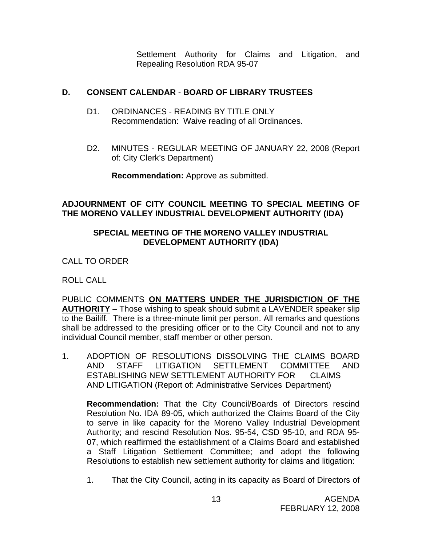Settlement Authority for Claims and Litigation, and Repealing Resolution RDA 95-07

## **D. CONSENT CALENDAR** - **BOARD OF LIBRARY TRUSTEES**

- D1. ORDINANCES READING BY TITLE ONLY Recommendation: Waive reading of all Ordinances.
- D2. MINUTES REGULAR MEETING OF JANUARY 22, 2008 (Report of: City Clerk's Department)

**Recommendation:** Approve as submitted.

#### **ADJOURNMENT OF CITY COUNCIL MEETING TO SPECIAL MEETING OF THE MORENO VALLEY INDUSTRIAL DEVELOPMENT AUTHORITY (IDA)**

#### **SPECIAL MEETING OF THE MORENO VALLEY INDUSTRIAL DEVELOPMENT AUTHORITY (IDA)**

CALL TO ORDER

ROLL CALL

PUBLIC COMMENTS **ON MATTERS UNDER THE JURISDICTION OF THE AUTHORITY** – Those wishing to speak should submit a LAVENDER speaker slip to the Bailiff. There is a three-minute limit per person. All remarks and questions shall be addressed to the presiding officer or to the City Council and not to any individual Council member, staff member or other person.

1. ADOPTION OF RESOLUTIONS DISSOLVING THE CLAIMS BOARD AND STAFF LITIGATION SETTLEMENT COMMITTEE AND ESTABLISHING NEW SETTLEMENT AUTHORITY FOR CLAIMS AND LITIGATION (Report of: Administrative Services Department)

**Recommendation:** That the City Council/Boards of Directors rescind Resolution No. IDA 89-05, which authorized the Claims Board of the City to serve in like capacity for the Moreno Valley Industrial Development Authority; and rescind Resolution Nos. 95-54, CSD 95-10, and RDA 95- 07, which reaffirmed the establishment of a Claims Board and established a Staff Litigation Settlement Committee; and adopt the following Resolutions to establish new settlement authority for claims and litigation:

1. That the City Council, acting in its capacity as Board of Directors of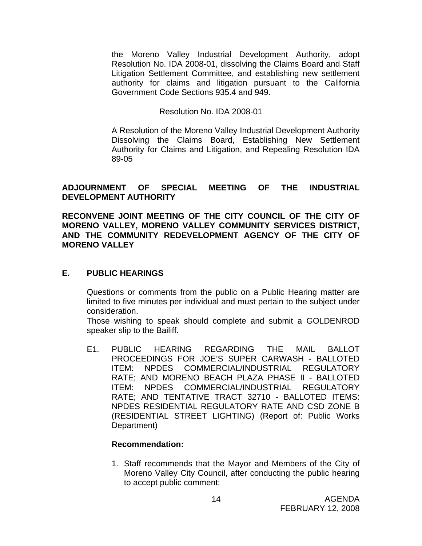the Moreno Valley Industrial Development Authority, adopt Resolution No. IDA 2008-01, dissolving the Claims Board and Staff Litigation Settlement Committee, and establishing new settlement authority for claims and litigation pursuant to the California Government Code Sections 935.4 and 949.

#### Resolution No. IDA 2008-01

 A Resolution of the Moreno Valley Industrial Development Authority Dissolving the Claims Board, Establishing New Settlement Authority for Claims and Litigation, and Repealing Resolution IDA 89-05

#### **ADJOURNMENT OF SPECIAL MEETING OF THE INDUSTRIAL DEVELOPMENT AUTHORITY**

**RECONVENE JOINT MEETING OF THE CITY COUNCIL OF THE CITY OF MORENO VALLEY, MORENO VALLEY COMMUNITY SERVICES DISTRICT, AND THE COMMUNITY REDEVELOPMENT AGENCY OF THE CITY OF MORENO VALLEY**

#### **E. PUBLIC HEARINGS**

Questions or comments from the public on a Public Hearing matter are limited to five minutes per individual and must pertain to the subject under consideration.

 Those wishing to speak should complete and submit a GOLDENROD speaker slip to the Bailiff.

E1. PUBLIC HEARING REGARDING THE MAIL BALLOT PROCEEDINGS FOR JOE'S SUPER CARWASH - BALLOTED ITEM: NPDES COMMERCIAL/INDUSTRIAL REGULATORY RATE; AND MORENO BEACH PLAZA PHASE II - BALLOTED ITEM: NPDES COMMERCIAL/INDUSTRIAL REGULATORY RATE; AND TENTATIVE TRACT 32710 - BALLOTED ITEMS: NPDES RESIDENTIAL REGULATORY RATE AND CSD ZONE B (RESIDENTIAL STREET LIGHTING) (Report of: Public Works Department)

#### **Recommendation:**

1. Staff recommends that the Mayor and Members of the City of Moreno Valley City Council, after conducting the public hearing to accept public comment: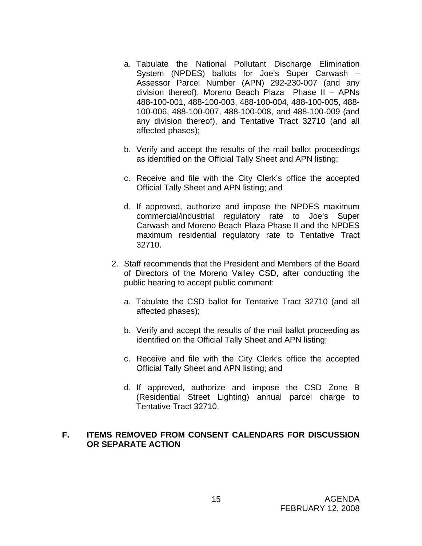- a. Tabulate the National Pollutant Discharge Elimination System (NPDES) ballots for Joe's Super Carwash – Assessor Parcel Number (APN) 292-230-007 (and any division thereof), Moreno Beach Plaza Phase II – APNs 488-100-001, 488-100-003, 488-100-004, 488-100-005, 488- 100-006, 488-100-007, 488-100-008, and 488-100-009 (and any division thereof), and Tentative Tract 32710 (and all affected phases);
- b. Verify and accept the results of the mail ballot proceedings as identified on the Official Tally Sheet and APN listing;
- c. Receive and file with the City Clerk's office the accepted Official Tally Sheet and APN listing; and
- d. If approved, authorize and impose the NPDES maximum commercial/industrial regulatory rate to Joe's Super Carwash and Moreno Beach Plaza Phase II and the NPDES maximum residential regulatory rate to Tentative Tract 32710.
- 2. Staff recommends that the President and Members of the Board of Directors of the Moreno Valley CSD, after conducting the public hearing to accept public comment:
	- a. Tabulate the CSD ballot for Tentative Tract 32710 (and all affected phases);
	- b. Verify and accept the results of the mail ballot proceeding as identified on the Official Tally Sheet and APN listing;
	- c. Receive and file with the City Clerk's office the accepted Official Tally Sheet and APN listing; and
	- d. If approved, authorize and impose the CSD Zone B (Residential Street Lighting) annual parcel charge to Tentative Tract 32710.

#### **F. ITEMS REMOVED FROM CONSENT CALENDARS FOR DISCUSSION OR SEPARATE ACTION**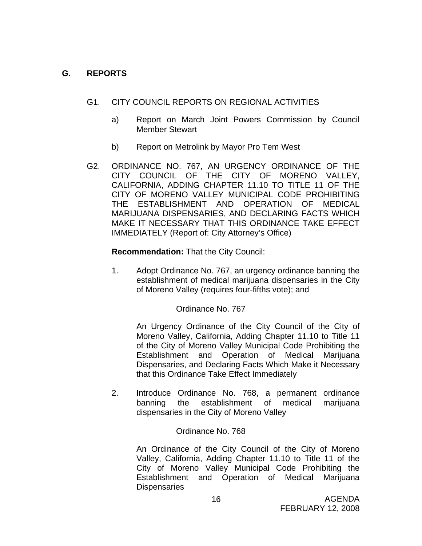#### **G. REPORTS**

- G1. CITY COUNCIL REPORTS ON REGIONAL ACTIVITIES
	- a) Report on March Joint Powers Commission by Council Member Stewart
	- b) Report on Metrolink by Mayor Pro Tem West
- G2. ORDINANCE NO. 767, AN URGENCY ORDINANCE OF THE CITY COUNCIL OF THE CITY OF MORENO VALLEY, CALIFORNIA, ADDING CHAPTER 11.10 TO TITLE 11 OF THE CITY OF MORENO VALLEY MUNICIPAL CODE PROHIBITING THE ESTABLISHMENT AND OPERATION OF MEDICAL MARIJUANA DISPENSARIES, AND DECLARING FACTS WHICH MAKE IT NECESSARY THAT THIS ORDINANCE TAKE EFFECT IMMEDIATELY (Report of: City Attorney's Office)

#### **Recommendation:** That the City Council:

1. Adopt Ordinance No. 767, an urgency ordinance banning the establishment of medical marijuana dispensaries in the City of Moreno Valley (requires four-fifths vote); and

#### Ordinance No. 767

An Urgency Ordinance of the City Council of the City of Moreno Valley, California, Adding Chapter 11.10 to Title 11 of the City of Moreno Valley Municipal Code Prohibiting the Establishment and Operation of Medical Marijuana Dispensaries, and Declaring Facts Which Make it Necessary that this Ordinance Take Effect Immediately

2. Introduce Ordinance No. 768, a permanent ordinance banning the establishment of medical marijuana dispensaries in the City of Moreno Valley

#### Ordinance No. 768

An Ordinance of the City Council of the City of Moreno Valley, California, Adding Chapter 11.10 to Title 11 of the City of Moreno Valley Municipal Code Prohibiting the Establishment and Operation of Medical Marijuana **Dispensaries**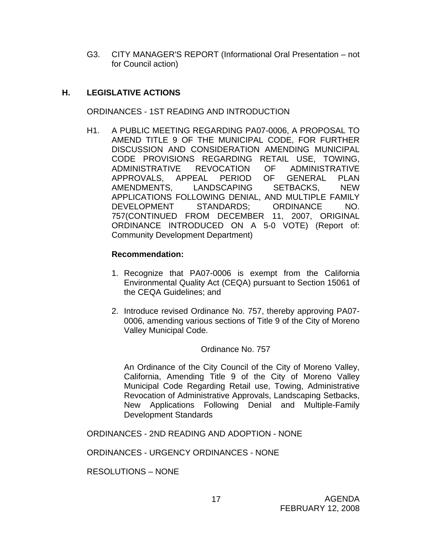G3. CITY MANAGER'S REPORT (Informational Oral Presentation – not for Council action)

## **H. LEGISLATIVE ACTIONS**

ORDINANCES - 1ST READING AND INTRODUCTION

H1. A PUBLIC MEETING REGARDING PA07-0006, A PROPOSAL TO AMEND TITLE 9 OF THE MUNICIPAL CODE, FOR FURTHER DISCUSSION AND CONSIDERATION AMENDING MUNICIPAL CODE PROVISIONS REGARDING RETAIL USE, TOWING, ADMINISTRATIVE REVOCATION OF ADMINISTRATIVE APPROVALS, APPEAL PERIOD OF GENERAL PLAN AMENDMENTS. LANDSCAPING SETBACKS, NEW APPLICATIONS FOLLOWING DENIAL, AND MULTIPLE FAMILY DEVELOPMENT STANDARDS; ORDINANCE NO. 757(CONTINUED FROM DECEMBER 11, 2007, ORIGINAL ORDINANCE INTRODUCED ON A 5-0 VOTE) (Report of: Community Development Department)

#### **Recommendation:**

- 1. Recognize that PA07-0006 is exempt from the California Environmental Quality Act (CEQA) pursuant to Section 15061 of the CEQA Guidelines; and
- 2. Introduce revised Ordinance No. 757, thereby approving PA07- 0006, amending various sections of Title 9 of the City of Moreno Valley Municipal Code.

#### Ordinance No. 757

An Ordinance of the City Council of the City of Moreno Valley, California, Amending Title 9 of the City of Moreno Valley Municipal Code Regarding Retail use, Towing, Administrative Revocation of Administrative Approvals, Landscaping Setbacks, New Applications Following Denial and Multiple-Family Development Standards

ORDINANCES - 2ND READING AND ADOPTION - NONE

ORDINANCES - URGENCY ORDINANCES - NONE

RESOLUTIONS – NONE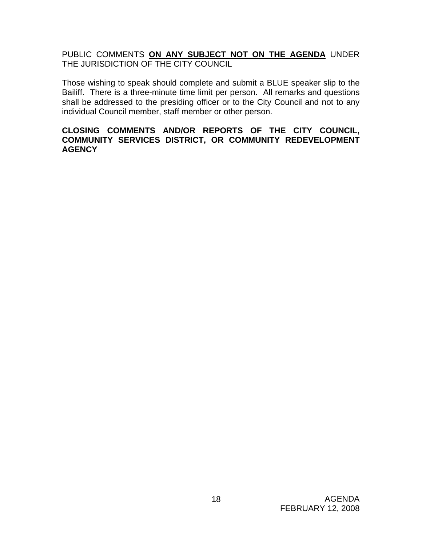PUBLIC COMMENTS **ON ANY SUBJECT NOT ON THE AGENDA** UNDER THE JURISDICTION OF THE CITY COUNCIL

Those wishing to speak should complete and submit a BLUE speaker slip to the Bailiff. There is a three-minute time limit per person. All remarks and questions shall be addressed to the presiding officer or to the City Council and not to any individual Council member, staff member or other person.

#### **CLOSING COMMENTS AND/OR REPORTS OF THE CITY COUNCIL, COMMUNITY SERVICES DISTRICT, OR COMMUNITY REDEVELOPMENT AGENCY**